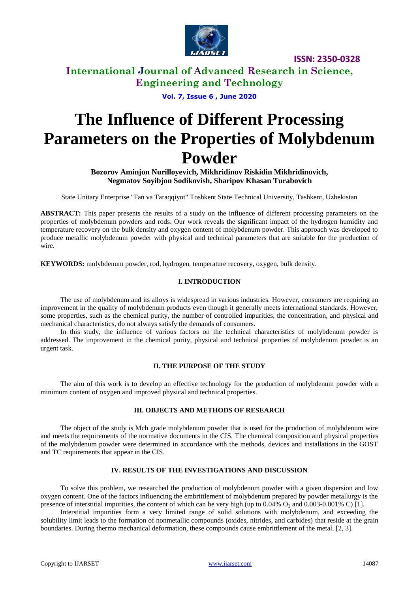

**ISSN: 2350-0328**

# **International Journal of Advanced Research in Science, Engineering and Technology**

**Vol. 7, Issue 6 , June 2020**

# **The Influence of Different Processing Parameters on the Properties of Molybdenum Powder**

**Bozorov Aminjon Nurilloyevich, Mikhridinov Riskidin Mikhridinovich, Negmatov Soyibjon Sodikovish, Sharipov Khasan Turabovich**

State Unitary Enterprise "Fan va Taraqqiyot" Toshkent State Technical University, Tashkent, Uzbekistan

**ABSTRACT:** This paper presents the results of a study on the influence of different processing parameters on the properties of molybdenum powders and rods. Our work reveals the significant impact of the hydrogen humidity and temperature recovery on the bulk density and oxygen content of molybdenum powder. This approach was developed to produce metallic molybdenum powder with physical and technical parameters that are suitable for the production of wire.

**KEYWORDS:** molybdenum powder, rod, hydrogen, temperature recovery, oxygen, bulk density.

## **I. INTRODUCTION**

The use of molybdenum and its alloys is widespread in various industries. However, consumers are requiring an improvement in the quality of molybdenum products even though it generally meets international standards. However, some properties, such as the chemical purity, the number of controlled impurities, the concentration, and physical and mechanical characteristics, do not always satisfy the demands of consumers.

In this study, the influence of various factors on the technical characteristics of molybdenum powder is addressed. The improvement in the chemical purity, physical and technical properties of molybdenum powder is an urgent task.

## **II. THE PURPOSE OF THE STUDY**

The aim of this work is to develop an effective technology for the production of molybdenum powder with a minimum content of oxygen and improved physical and technical properties.

#### **III. OBJECTS AND METHODS OF RESEARCH**

The object of the study is Mch grade molybdenum powder that is used for the production of molybdenum wire and meets the requirements of the normative documents in the CIS. The chemical composition and physical properties of the molybdenum powder were determined in accordance with the methods, devices and installations in the GOST and TC requirements that appear in the CIS.

## **IV. RESULTS OF THE INVESTIGATIONS AND DISCUSSION**

To solve this problem, we researched the production of molybdenum powder with a given dispersion and low oxygen content. One of the factors influencing the embrittlement of molybdenum prepared by powder metallurgy is the presence of interstitial impurities, the content of which can be very high (up to  $0.04\%$  O<sub>2</sub> and  $0.003-0.001\%$  C) [1].

Interstitial impurities form a very limited range of solid solutions with molybdenum, and exceeding the solubility limit leads to the formation of nonmetallic compounds (oxides, nitrides, and carbides) that reside at the grain boundaries. During thermo mechanical deformation, these compounds cause embrittlement of the metal. [2, 3].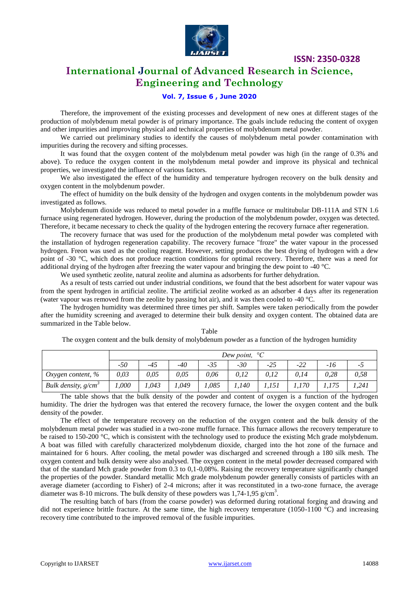

**ISSN: 2350-0328**

# **International Journal of Advanced Research in Science, Engineering and Technology**

## **Vol. 7, Issue 6 , June 2020**

Therefore, the improvement of the existing processes and development of new ones at different stages of the production of molybdenum metal powder is of primary importance. The goals include reducing the content of oxygen and other impurities and improving physical and technical properties of molybdenum metal powder.

We carried out preliminary studies to identify the causes of molybdenum metal powder contamination with impurities during the recovery and sifting processes.

It was found that the oxygen content of the molybdenum metal powder was high (in the range of 0.3% and above). To reduce the oxygen content in the molybdenum metal powder and improve its physical and technical properties, we investigated the influence of various factors.

We also investigated the effect of the humidity and temperature hydrogen recovery on the bulk density and oxygen content in the molybdenum powder.

The effect of humidity on the bulk density of the hydrogen and oxygen contents in the molybdenum powder was investigated as follows.

Molybdenum dioxide was reduced to metal powder in a muffle furnace or multitubular DB-111A and STN 1.6 furnace using regenerated hydrogen. However, during the production of the molybdenum powder, oxygen was detected. Therefore, it became necessary to check the quality of the hydrogen entering the recovery furnace after regeneration.

The recovery furnace that was used for the production of the molybdenum metal powder was completed with the installation of hydrogen regeneration capability. The recovery furnace "froze" the water vapour in the processed hydrogen. Freon was used as the cooling reagent. However, setting produces the best drying of hydrogen with a dew point of -30 °C, which does not produce reaction conditions for optimal recovery. Therefore, there was a need for additional drying of the hydrogen after freezing the water vapour and bringing the dew point to -40 °C.

We used synthetic zeolite, natural zeolite and alumina as adsorbents for further dehydration.

As a result of tests carried out under industrial conditions, we found that the best adsorbent for water vapour was from the spent hydrogen in artificial zeolite. The artificial zeolite worked as an adsorber 4 days after its regeneration (water vapour was removed from the zeolite by passing hot air), and it was then cooled to -40 °C.

The hydrogen humidity was determined three times per shift. Samples were taken periodically from the powder after the humidity screening and averaged to determine their bulk density and oxygen content. The obtained data are summarized in the Table below.

|                       | Dew point, $^{\circ}C$ |       |       |       |       |       |       |      |       |
|-----------------------|------------------------|-------|-------|-------|-------|-------|-------|------|-------|
|                       | $-50$                  | $-45$ | -40   | -35   | -30   | $-25$ | $-22$ | -16  | ز -   |
| Oxygen content, $\%$  | 0.03                   | 0,05  | 0,05  | 0.06  | 0.12  | 0,12  | 0.14  | 0.28 | 0,58  |
| Bulk density, $g/cm3$ | .000                   | 1,043 | 1,049 | 1.085 | 1,140 | 1,151 | 1,170 |      | 1,241 |

Table

The oxygen content and the bulk density of molybdenum powder as a function of the hydrogen humidity

The table shows that the bulk density of the powder and content of oxygen is a function of the hydrogen humidity. The drier the hydrogen was that entered the recovery furnace, the lower the oxygen content and the bulk density of the powder.

The effect of the temperature recovery on the reduction of the oxygen content and the bulk density of the molybdenum metal powder was studied in a two-zone muffle furnace. This furnace allows the recovery temperature to be raised to 150-200 °C, which is consistent with the technology used to produce the existing Mch grade molybdenum. A boat was filled with carefully characterized molybdenum dioxide, charged into the hot zone of the furnace and maintained for 6 hours. After cooling, the metal powder was discharged and screened through a 180 silk mesh. The oxygen content and bulk density were also analysed. The oxygen content in the metal powder decreased compared with that of the standard Mch grade powder from 0.3 to 0,1-0,08%. Raising the recovery temperature significantly changed the properties of the powder. Standard metallic Mch grade molybdenum powder generally consists of particles with an average diameter (according to Fisher) of 2-4 microns; after it was reconstituted in a two-zone furnace, the average diameter was 8-10 microns. The bulk density of these powders was  $1,74$ -1,95 g/cm<sup>3</sup>.

The resulting batch of bars (from the coarse powder) was deformed during rotational forging and drawing and did not experience brittle fracture. At the same time, the high recovery temperature (1050-1100  $^{\circ}$ C) and increasing recovery time contributed to the improved removal of the fusible impurities.